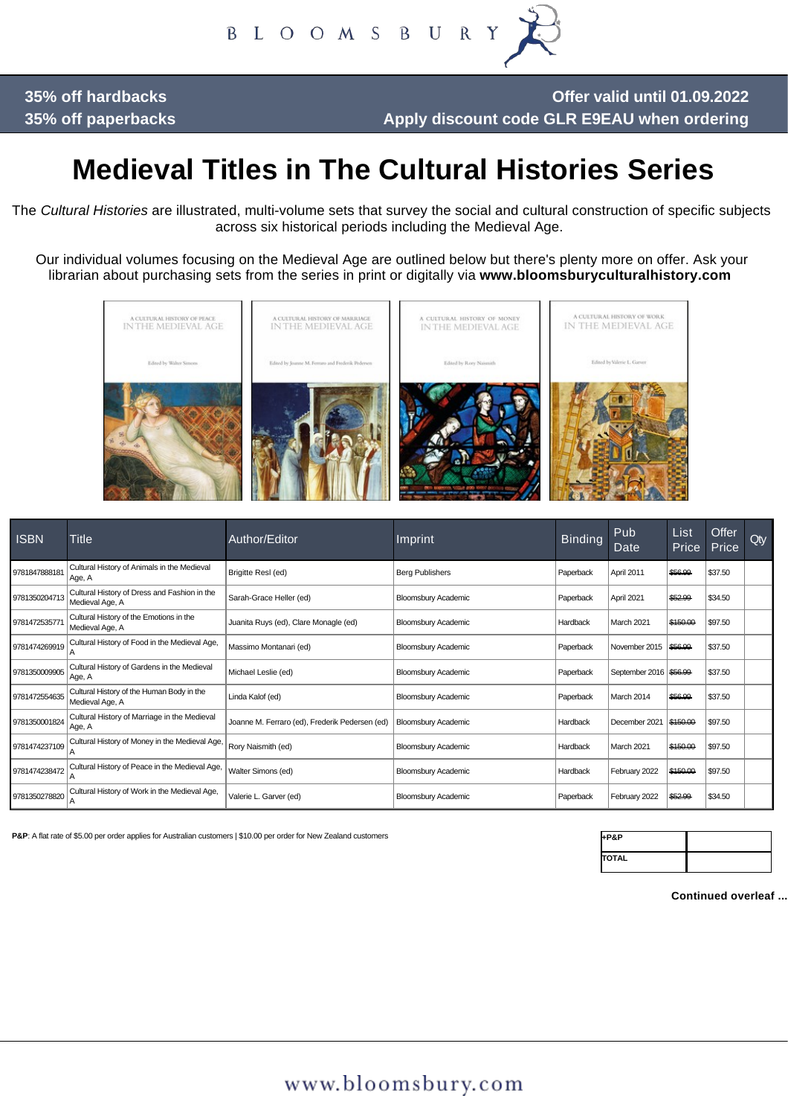B L O O M S B U R

**35% off hardbacks 35% off paperbacks**

**Offer valid until 01.09.2022 Apply discount code GLR E9EAU when ordering**

# **Medieval Titles in The Cultural Histories Series**

The *Cultural Histories* are illustrated, multi-volume sets that survey the social and cultural construction of specific subjects across six historical periods including the Medieval Age.

Our individual volumes focusing on the Medieval Age are outlined below but there's plenty more on offer. Ask your librarian about purchasing sets from the series in print or digitally via **www.bloomsburyculturalhistory.com** 



| <b>ISBN</b>   | Title                                                           | Author/Editor                                  | Imprint                    | <b>Binding</b> | Pub<br>Date            | List<br>Price | Offer<br>Price | <b>Qty</b> |
|---------------|-----------------------------------------------------------------|------------------------------------------------|----------------------------|----------------|------------------------|---------------|----------------|------------|
| 9781847888181 | Cultural History of Animals in the Medieval<br>∣Age, A          | Brigitte Resl (ed)                             | <b>Berg Publishers</b>     | Paperback      | April 2011             | \$56.99       | \$37.50        |            |
| 9781350204713 | Cultural History of Dress and Fashion in the<br>Medieval Age, A | Sarah-Grace Heller (ed)                        | <b>Bloomsbury Academic</b> | Paperback      | April 2021             | \$52.99       | \$34.50        |            |
| 978147253577  | Cultural History of the Emotions in the<br>Medieval Age, A      | Juanita Ruys (ed), Clare Monagle (ed)          | <b>Bloomsbury Academic</b> | Hardback       | March 2021             | \$150.00      | \$97.50        |            |
| 9781474269919 | Cultural History of Food in the Medieval Age,                   | Massimo Montanari (ed)                         | <b>Bloomsbury Academic</b> | Paperback      | November 2015          | \$56.99       | \$37.50        |            |
| 9781350009905 | Cultural History of Gardens in the Medieval<br>Age, A           | Michael Leslie (ed)                            | <b>Bloomsbury Academic</b> | Paperback      | September 2016 \$56.99 |               | \$37.50        |            |
| 9781472554635 | Cultural History of the Human Body in the<br>Medieval Age, A    | Linda Kalof (ed)                               | <b>Bloomsbury Academic</b> | Paperback      | March 2014             | \$56.99       | \$37.50        |            |
| 9781350001824 | Cultural History of Marriage in the Medieval<br>Age, A          | Joanne M. Ferraro (ed), Frederik Pedersen (ed) | <b>Bloomsbury Academic</b> | Hardback       | December 2021          | \$150.00      | \$97.50        |            |
| 9781474237109 | Cultural History of Money in the Medieval Age,                  | Rory Naismith (ed)                             | <b>Bloomsbury Academic</b> | Hardback       | March 2021             | \$150.00      | \$97.50        |            |
| 9781474238472 | Cultural History of Peace in the Medieval Age,                  | Walter Simons (ed)                             | <b>Bloomsbury Academic</b> | Hardback       | February 2022          | \$150.00      | \$97.50        |            |
| 9781350278820 | Cultural History of Work in the Medieval Age,                   | Valerie L. Garver (ed)                         | <b>Bloomsbury Academic</b> | Paperback      | February 2022          | \$52.99       | \$34.50        |            |

**P&P:** A flat rate of \$5.00 per order applies for Australian customers | \$10.00 per order for New Zealand customers

| +P&P         |  |
|--------------|--|
| <b>TOTAL</b> |  |

**Continued overleaf ...**